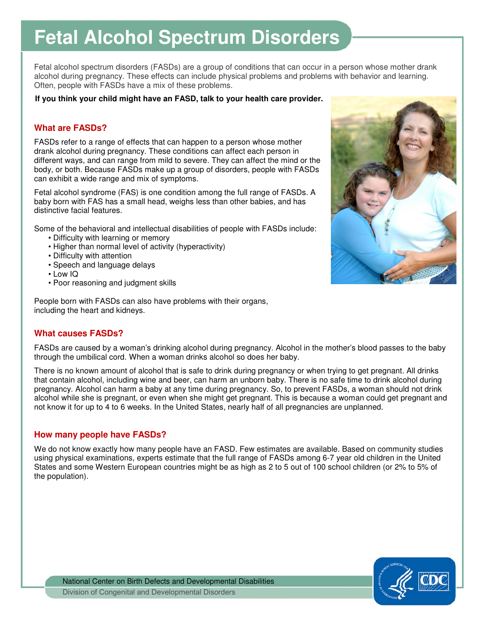# **Fetal Alcohol Spectrum Disorders**

 Fetal alcohol spectrum disorders (FASDs) are a group of conditions that can occur in a person whose mother drank alcohol during pregnancy. These effects can include physical problems and problems with behavior and learning. Often, people with FASDs have a mix of these problems.

#### **If you think your child might have an FASD, talk to your health care provider.**

## **What are FASDs?**

 FASDs refer to a range of effects that can happen to a person whose mother drank alcohol during pregnancy. These conditions can affect each person in different ways, and can range from mild to severe. They can affect the mind or the body, or both. Because FASDs make up a group of disorders, people with FASDs can exhibit a wide range and mix of symptoms.

 Fetal alcohol syndrome (FAS) is one condition among the full range of FASDs. A baby born with FAS has a small head, weighs less than other babies, and has distinctive facial features.

Some of the behavioral and intellectual disabilities of people with FASDs include:

- Difficulty with learning or memory
- Higher than normal level of activity (hyperactivity)
- Difficulty with attention
- Speech and language delays
- Low IQ
- Poor reasoning and judgment skills

 People born with FASDs can also have problems with their organs, including the heart and kidneys.

## **What causes FASDs?**

 FASDs are caused by a woman's drinking alcohol during pregnancy. Alcohol in the mother's blood passes to the baby through the umbilical cord. When a woman drinks alcohol so does her baby.

 There is no known amount of alcohol that is safe to drink during pregnancy or when trying to get pregnant. All drinks that contain alcohol, including wine and beer, can harm an unborn baby. There is no safe time to drink alcohol during pregnancy. Alcohol can harm a baby at any time during pregnancy. So, to prevent FASDs, a woman should not drink alcohol while she is pregnant, or even when she might get pregnant. This is because a woman could get pregnant and not know it for up to 4 to 6 weeks. In the United States, nearly half of all pregnancies are unplanned.

## **How many people have FASDs?**

 We do not know exactly how many people have an FASD. Few estimates are available. Based on community studies using physical examinations, experts estimate that the full range of FASDs among 6-7 year old children in the United States and some Western European countries might be as high as 2 to 5 out of 100 school children (or 2% to 5% of the population).